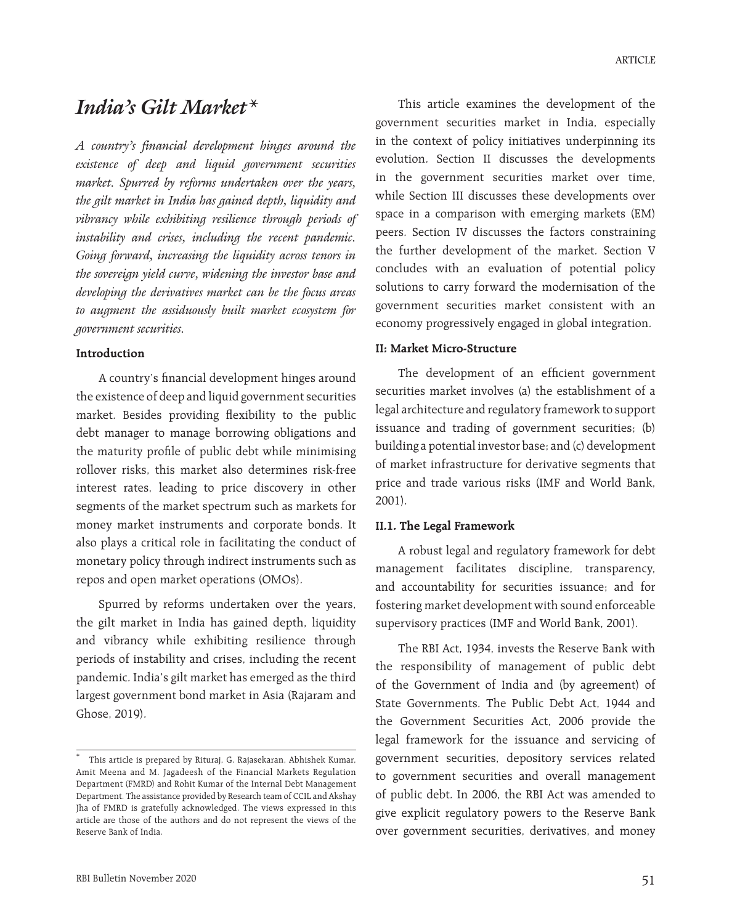# *India's Gilt Market\**

*A country's financial development hinges around the existence of deep and liquid government securities market. Spurred by reforms undertaken over the years, the gilt market in India has gained depth, liquidity and vibrancy while exhibiting resilience through periods of instability and crises, including the recent pandemic. Going forward, increasing the liquidity across tenors in the sovereign yield curve, widening the investor base and developing the derivatives market can be the focus areas to augment the assiduously built market ecosystem for government securities.*

#### **Introduction**

A country's financial development hinges around the existence of deep and liquid government securities market. Besides providing flexibility to the public debt manager to manage borrowing obligations and the maturity profile of public debt while minimising rollover risks, this market also determines risk-free interest rates, leading to price discovery in other segments of the market spectrum such as markets for money market instruments and corporate bonds. It also plays a critical role in facilitating the conduct of monetary policy through indirect instruments such as repos and open market operations (OMOs).

Spurred by reforms undertaken over the years, the gilt market in India has gained depth, liquidity and vibrancy while exhibiting resilience through periods of instability and crises, including the recent pandemic. India's gilt market has emerged as the third largest government bond market in Asia (Rajaram and Ghose, 2019).

This article examines the development of the government securities market in India, especially in the context of policy initiatives underpinning its evolution. Section II discusses the developments in the government securities market over time, while Section III discusses these developments over space in a comparison with emerging markets (EM) peers. Section IV discusses the factors constraining the further development of the market. Section V concludes with an evaluation of potential policy solutions to carry forward the modernisation of the government securities market consistent with an economy progressively engaged in global integration.

### **II: Market Micro-Structure**

The development of an efficient government securities market involves (a) the establishment of a legal architecture and regulatory framework to support issuance and trading of government securities; (b) building a potential investor base; and (c) development of market infrastructure for derivative segments that price and trade various risks (IMF and World Bank, 2001).

#### **II.1. The Legal Framework**

A robust legal and regulatory framework for debt management facilitates discipline, transparency, and accountability for securities issuance; and for fostering market development with sound enforceable supervisory practices (IMF and World Bank, 2001).

The RBI Act, 1934, invests the Reserve Bank with the responsibility of management of public debt of the Government of India and (by agreement) of State Governments. The Public Debt Act, 1944 and the Government Securities Act, 2006 provide the legal framework for the issuance and servicing of government securities, depository services related to government securities and overall management of public debt. In 2006, the RBI Act was amended to give explicit regulatory powers to the Reserve Bank over government securities, derivatives, and money

This article is prepared by Rituraj, G. Rajasekaran, Abhishek Kumar, Amit Meena and M. Jagadeesh of the Financial Markets Regulation Department (FMRD) and Rohit Kumar of the Internal Debt Management Department. The assistance provided by Research team of CCIL and Akshay Jha of FMRD is gratefully acknowledged. The views expressed in this article are those of the authors and do not represent the views of the Reserve Bank of India.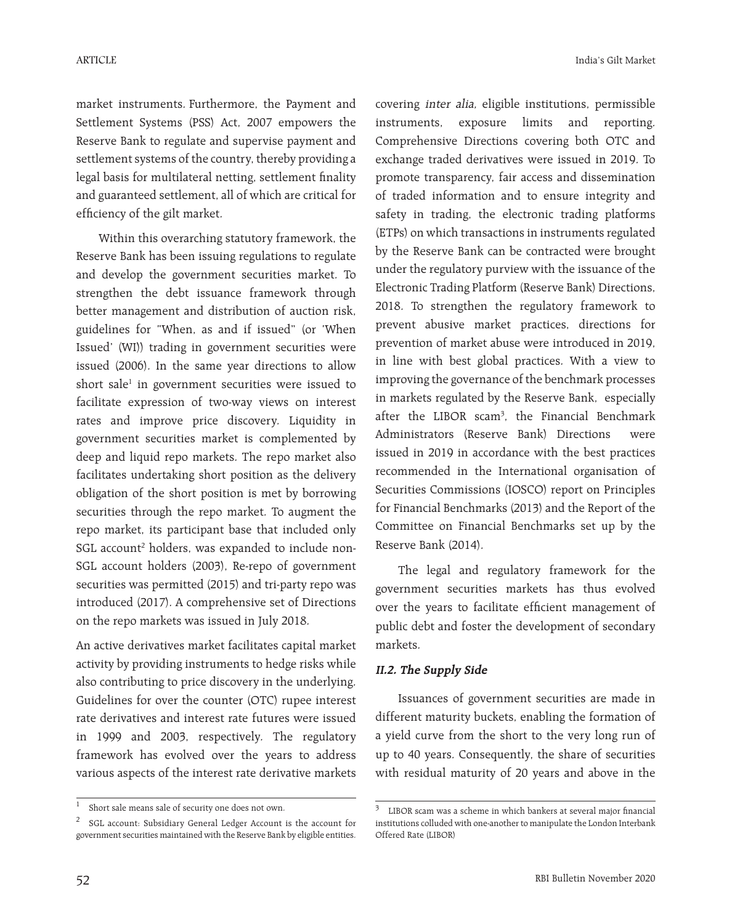India's Gilt Market

market instruments. Furthermore, the Payment and Settlement Systems (PSS) Act, 2007 empowers the Reserve Bank to regulate and supervise payment and settlement systems of the country, thereby providing a legal basis for multilateral netting, settlement finality and guaranteed settlement, all of which are critical for efficiency of the gilt market.

Within this overarching statutory framework, the Reserve Bank has been issuing regulations to regulate and develop the government securities market. To strengthen the debt issuance framework through better management and distribution of auction risk, guidelines for "When, as and if issued" (or 'When Issued' (WI)) trading in government securities were issued (2006). In the same year directions to allow short sale1 in government securities were issued to facilitate expression of two-way views on interest rates and improve price discovery. Liquidity in government securities market is complemented by deep and liquid repo markets. The repo market also facilitates undertaking short position as the delivery obligation of the short position is met by borrowing securities through the repo market. To augment the repo market, its participant base that included only SGL account<sup>2</sup> holders, was expanded to include non-SGL account holders (2003), Re-repo of government securities was permitted (2015) and tri-party repo was introduced (2017). A comprehensive set of Directions on the repo markets was issued in July 2018.

An active derivatives market facilitates capital market activity by providing instruments to hedge risks while also contributing to price discovery in the underlying. Guidelines for over the counter (OTC) rupee interest rate derivatives and interest rate futures were issued in 1999 and 2003, respectively. The regulatory framework has evolved over the years to address various aspects of the interest rate derivative markets

covering inter alia, eligible institutions, permissible instruments, exposure limits and reporting. Comprehensive Directions covering both OTC and exchange traded derivatives were issued in 2019. To promote transparency, fair access and dissemination of traded information and to ensure integrity and safety in trading, the electronic trading platforms (ETPs) on which transactions in instruments regulated by the Reserve Bank can be contracted were brought under the regulatory purview with the issuance of the Electronic Trading Platform (Reserve Bank) Directions, 2018. To strengthen the regulatory framework to prevent abusive market practices, directions for prevention of market abuse were introduced in 2019, in line with best global practices. With a view to improving the governance of the benchmark processes in markets regulated by the Reserve Bank, especially after the LIBOR scam3 , the Financial Benchmark Administrators (Reserve Bank) Directions were issued in 2019 in accordance with the best practices recommended in the International organisation of Securities Commissions (IOSCO) report on Principles for Financial Benchmarks (2013) and the Report of the Committee on Financial Benchmarks set up by the Reserve Bank (2014).

The legal and regulatory framework for the government securities markets has thus evolved over the years to facilitate efficient management of public debt and foster the development of secondary markets.

# **II.2. The Supply Side**

Issuances of government securities are made in different maturity buckets, enabling the formation of a yield curve from the short to the very long run of up to 40 years. Consequently, the share of securities with residual maturity of 20 years and above in the

<sup>&</sup>lt;sup>1</sup> Short sale means sale of security one does not own.

<sup>2</sup> SGL account: Subsidiary General Ledger Account is the account for government securities maintained with the Reserve Bank by eligible entities.

<sup>3</sup> LIBOR scam was a scheme in which bankers at several major financial institutions colluded with one-another to manipulate the London Interbank Offered Rate (LIBOR)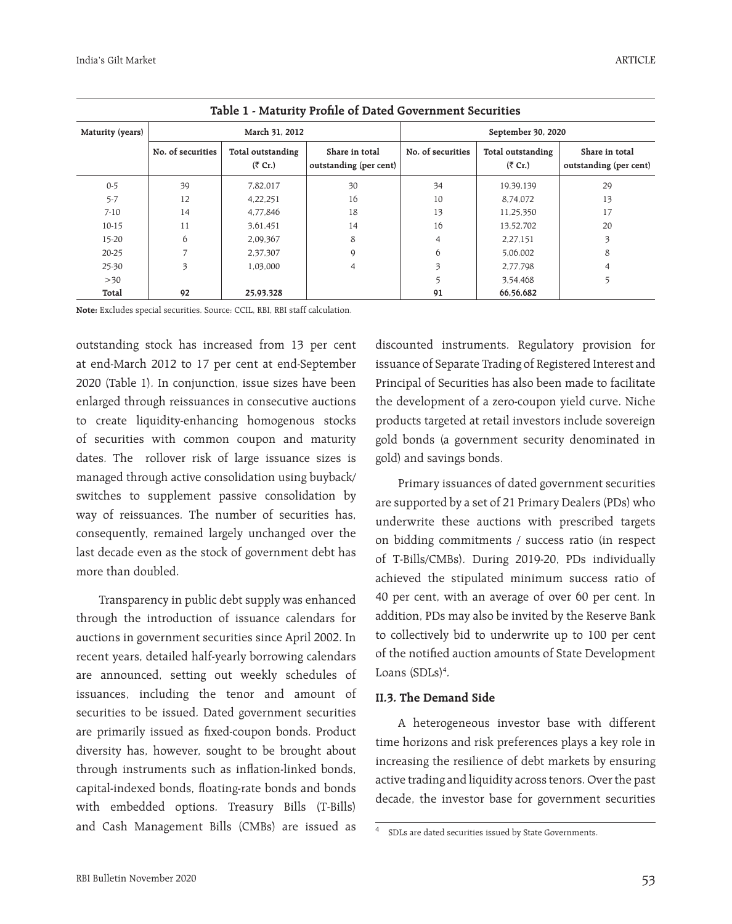| Table 1 - Maturity Profile of Dated Government Securities |                   |                                |                                          |                    |                                |                                          |  |  |
|-----------------------------------------------------------|-------------------|--------------------------------|------------------------------------------|--------------------|--------------------------------|------------------------------------------|--|--|
| Maturity (years)                                          |                   | March 31, 2012                 |                                          | September 30, 2020 |                                |                                          |  |  |
|                                                           | No. of securities | Total outstanding<br>$(5$ Cr.) | Share in total<br>outstanding (per cent) | No. of securities  | Total outstanding<br>$(5$ Cr.) | Share in total<br>outstanding (per cent) |  |  |
| $0 - 5$                                                   | 39                | 7,82,017                       | 30                                       | 34                 | 19,39,139                      | 29                                       |  |  |
| $5 - 7$                                                   | 12                | 4,22,251                       | 16                                       | 10                 | 8.74.072                       | 13                                       |  |  |
| $7 - 10$                                                  | 14                | 4,77,846                       | 18                                       | 13                 | 11,25,350                      | 17                                       |  |  |
| $10-15$                                                   | 11                | 3,61,451                       | 14                                       | 16                 | 13,52,702                      | 20                                       |  |  |
| 15-20                                                     | 6                 | 2,09,367                       | 8                                        | 4                  | 2,27,151                       |                                          |  |  |
| 20-25                                                     |                   | 2,37,307                       | 9                                        | 6                  | 5,06,002                       | 8                                        |  |  |
| 25-30                                                     | 3                 | 1,03,000                       | 4                                        | 3                  | 2,77,798                       |                                          |  |  |
| $>30$                                                     |                   |                                |                                          | 5                  | 3,54,468                       |                                          |  |  |
| Total                                                     | 92                | 25,93,328                      |                                          | 91                 | 66.56.682                      |                                          |  |  |

**Note:** Excludes special securities. Source: CCIL, RBI, RBI staff calculation.

outstanding stock has increased from 13 per cent at end-March 2012 to 17 per cent at end-September 2020 (Table 1). In conjunction, issue sizes have been enlarged through reissuances in consecutive auctions to create liquidity-enhancing homogenous stocks of securities with common coupon and maturity dates. The rollover risk of large issuance sizes is managed through active consolidation using buyback/ switches to supplement passive consolidation by way of reissuances. The number of securities has, consequently, remained largely unchanged over the last decade even as the stock of government debt has more than doubled.

Transparency in public debt supply was enhanced through the introduction of issuance calendars for auctions in government securities since April 2002. In recent years, detailed half-yearly borrowing calendars are announced, setting out weekly schedules of issuances, including the tenor and amount of securities to be issued. Dated government securities are primarily issued as fixed-coupon bonds. Product diversity has, however, sought to be brought about through instruments such as inflation-linked bonds, capital-indexed bonds, floating-rate bonds and bonds with embedded options. Treasury Bills (T-Bills) and Cash Management Bills (CMBs) are issued as

discounted instruments. Regulatory provision for issuance of Separate Trading of Registered Interest and Principal of Securities has also been made to facilitate the development of a zero-coupon yield curve. Niche products targeted at retail investors include sovereign gold bonds (a government security denominated in gold) and savings bonds.

Primary issuances of dated government securities are supported by a set of 21 Primary Dealers (PDs) who underwrite these auctions with prescribed targets on bidding commitments / success ratio (in respect of T-Bills/CMBs). During 2019-20, PDs individually achieved the stipulated minimum success ratio of 40 per cent, with an average of over 60 per cent. In addition, PDs may also be invited by the Reserve Bank to collectively bid to underwrite up to 100 per cent of the notified auction amounts of State Development Loans (SDLs)<sup>4</sup>.

## **II.3. The Demand Side**

A heterogeneous investor base with different time horizons and risk preferences plays a key role in increasing the resilience of debt markets by ensuring active trading and liquidity across tenors. Over the past decade, the investor base for government securities

SDLs are dated securities issued by State Governments.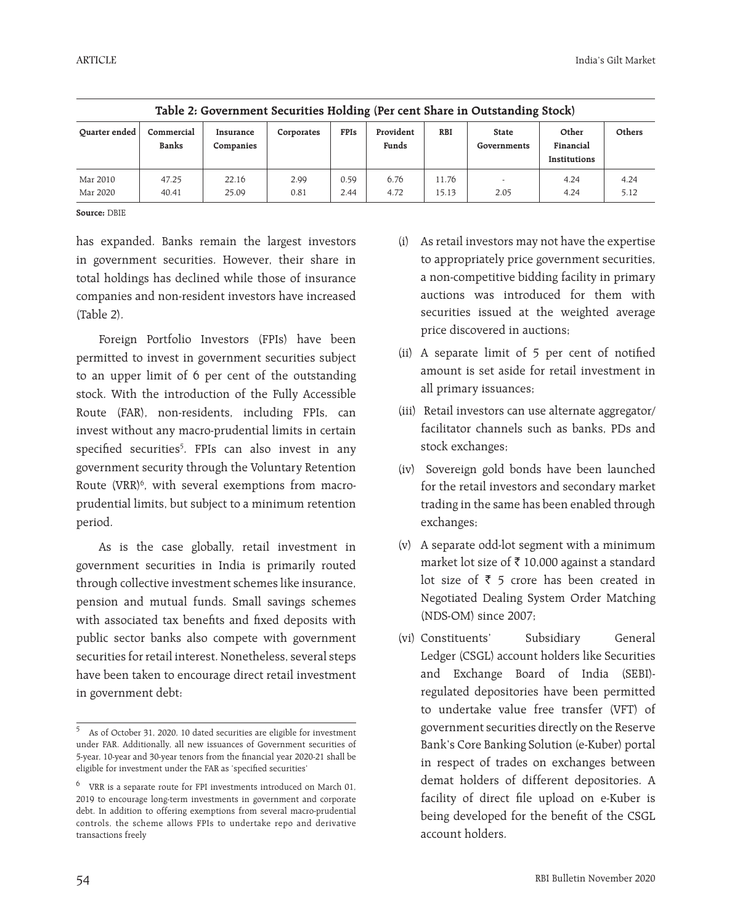| Table 2: Government Securities Holding (Per cent Share in Outstanding Stock) |                            |                        |              |              |                    |                |                             |                                    |              |
|------------------------------------------------------------------------------|----------------------------|------------------------|--------------|--------------|--------------------|----------------|-----------------------------|------------------------------------|--------------|
| Ouarter ended                                                                | Commercial<br><b>Banks</b> | Insurance<br>Companies | Corporates   | <b>FPIs</b>  | Provident<br>Funds | <b>RBI</b>     | <b>State</b><br>Governments | Other<br>Financial<br>Institutions | Others       |
| Mar 2010<br>Mar 2020                                                         | 47.25<br>40.41             | 22.16<br>25.09         | 2.99<br>0.81 | 0.59<br>2.44 | 6.76<br>4.72       | 11.76<br>15.13 | 2.05                        | 4.24<br>4.24                       | 4.24<br>5.12 |

| Table 2: Government Securities Holding (Per cent Share in Outstanding Stock) |  |  |  |
|------------------------------------------------------------------------------|--|--|--|
|                                                                              |  |  |  |

**Source:** DBIE

has expanded. Banks remain the largest investors in government securities. However, their share in total holdings has declined while those of insurance companies and non-resident investors have increased (Table 2).

Foreign Portfolio Investors (FPIs) have been permitted to invest in government securities subject to an upper limit of 6 per cent of the outstanding stock. With the introduction of the Fully Accessible Route (FAR), non-residents, including FPIs, can invest without any macro-prudential limits in certain specified securities<sup>5</sup>. FPIs can also invest in any government security through the Voluntary Retention Route (VRR)<sup>6</sup>, with several exemptions from macroprudential limits, but subject to a minimum retention period.

As is the case globally, retail investment in government securities in India is primarily routed through collective investment schemes like insurance, pension and mutual funds. Small savings schemes with associated tax benefits and fixed deposits with public sector banks also compete with government securities for retail interest. Nonetheless, several steps have been taken to encourage direct retail investment in government debt:

- (i) As retail investors may not have the expertise to appropriately price government securities, a non-competitive bidding facility in primary auctions was introduced for them with securities issued at the weighted average price discovered in auctions;
- (ii) A separate limit of 5 per cent of notified amount is set aside for retail investment in all primary issuances;
- (iii) Retail investors can use alternate aggregator/ facilitator channels such as banks, PDs and stock exchanges;
- (iv) Sovereign gold bonds have been launched for the retail investors and secondary market trading in the same has been enabled through exchanges;
- (v) A separate odd-lot segment with a minimum market lot size of  $\bar{\tau}$  10,000 against a standard lot size of  $\bar{z}$  5 crore has been created in Negotiated Dealing System Order Matching (NDS-OM) since 2007;
- (vi) Constituents' Subsidiary General Ledger (CSGL) account holders like Securities and Exchange Board of India (SEBI) regulated depositories have been permitted to undertake value free transfer (VFT) of government securities directly on the Reserve Bank's Core Banking Solution (e-Kuber) portal in respect of trades on exchanges between demat holders of different depositories. A facility of direct file upload on e-Kuber is being developed for the benefit of the CSGL account holders.

As of October 31, 2020, 10 dated securities are eligible for investment under FAR. Additionally, all new issuances of Government securities of 5-year, 10-year and 30-year tenors from the financial year 2020-21 shall be eligible for investment under the FAR as 'specified securities'

 $^6$   $\,$  VRR is a separate route for FPI investments introduced on March 01, 2019 to encourage long-term investments in government and corporate debt. In addition to offering exemptions from several macro-prudential controls, the scheme allows FPIs to undertake repo and derivative transactions freely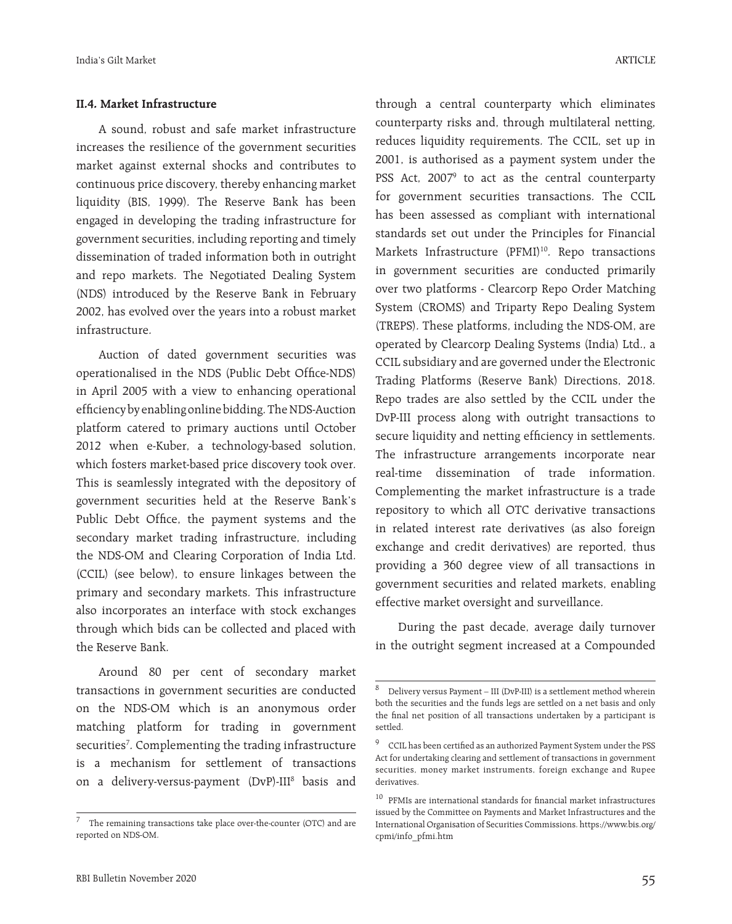### **II.4. Market Infrastructure**

A sound, robust and safe market infrastructure increases the resilience of the government securities market against external shocks and contributes to continuous price discovery, thereby enhancing market liquidity (BIS, 1999). The Reserve Bank has been engaged in developing the trading infrastructure for government securities, including reporting and timely dissemination of traded information both in outright and repo markets. The Negotiated Dealing System (NDS) introduced by the Reserve Bank in February 2002, has evolved over the years into a robust market infrastructure.

Auction of dated government securities was operationalised in the NDS (Public Debt Office-NDS) in April 2005 with a view to enhancing operational efficiency by enabling online bidding. The NDS-Auction platform catered to primary auctions until October 2012 when e-Kuber, a technology-based solution, which fosters market-based price discovery took over. This is seamlessly integrated with the depository of government securities held at the Reserve Bank's Public Debt Office, the payment systems and the secondary market trading infrastructure, including the NDS-OM and Clearing Corporation of India Ltd. (CCIL) (see below), to ensure linkages between the primary and secondary markets. This infrastructure also incorporates an interface with stock exchanges through which bids can be collected and placed with the Reserve Bank.

Around 80 per cent of secondary market transactions in government securities are conducted on the NDS-OM which is an anonymous order matching platform for trading in government securities<sup>7</sup>. Complementing the trading infrastructure is a mechanism for settlement of transactions on a delivery-versus-payment (DvP)-III<sup>8</sup> basis and through a central counterparty which eliminates counterparty risks and, through multilateral netting, reduces liquidity requirements. The CCIL, set up in 2001, is authorised as a payment system under the PSS Act, 2007<sup>9</sup> to act as the central counterparty for government securities transactions. The CCIL has been assessed as compliant with international standards set out under the Principles for Financial Markets Infrastructure (PFMI)<sup>10</sup>. Repo transactions in government securities are conducted primarily over two platforms - Clearcorp Repo Order Matching System (CROMS) and Triparty Repo Dealing System (TREPS). These platforms, including the NDS-OM, are operated by Clearcorp Dealing Systems (India) Ltd., a CCIL subsidiary and are governed under the Electronic Trading Platforms (Reserve Bank) Directions, 2018. Repo trades are also settled by the CCIL under the DvP-III process along with outright transactions to secure liquidity and netting efficiency in settlements. The infrastructure arrangements incorporate near real-time dissemination of trade information. Complementing the market infrastructure is a trade repository to which all OTC derivative transactions in related interest rate derivatives (as also foreign exchange and credit derivatives) are reported, thus providing a 360 degree view of all transactions in government securities and related markets, enabling effective market oversight and surveillance.

During the past decade, average daily turnover in the outright segment increased at a Compounded

The remaining transactions take place over-the-counter (OTC) and are reported on NDS-OM.

 $8$  Delivery versus Payment – III (DvP-III) is a settlement method wherein both the securities and the funds legs are settled on a net basis and only the final net position of all transactions undertaken by a participant is settled.

<sup>9</sup> CCIL has been certified as an authorized Payment System under the PSS Act for undertaking clearing and settlement of transactions in government securities, money market instruments, foreign exchange and Rupee derivatives.

 $^{10}\,$  PFMIs are international standards for financial market infrastructures issued by the Committee on Payments and Market Infrastructures and the International Organisation of Securities Commissions. https://www.bis.org/ cpmi/info\_pfmi.htm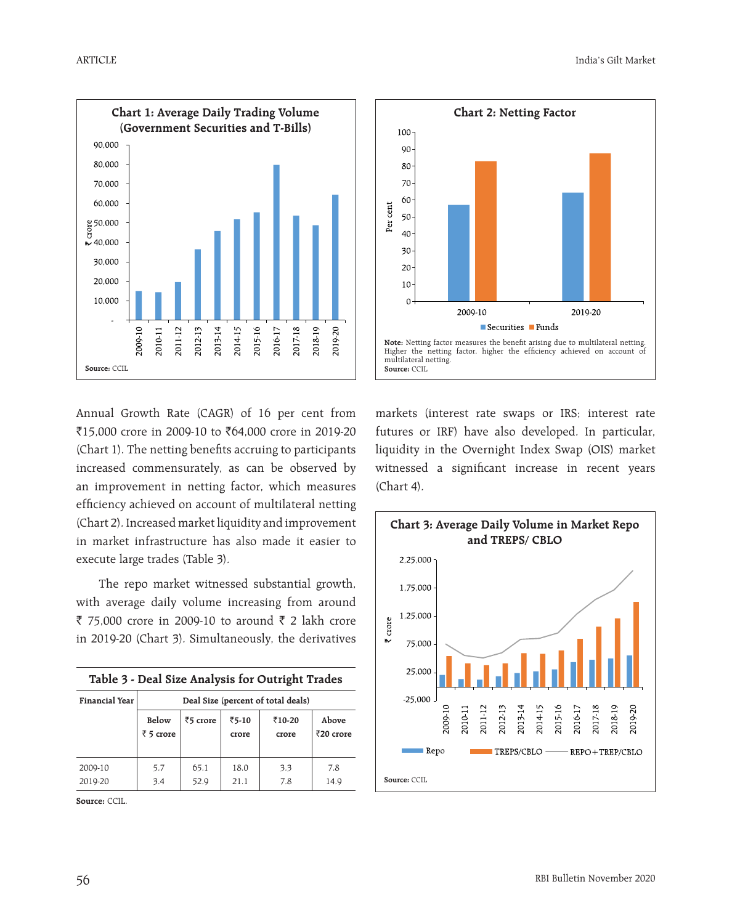



Annual Growth Rate (CAGR) of 16 per cent from `15,000 crore in 2009-10 to `64,000 crore in 2019-20 (Chart 1). The netting benefits accruing to participants increased commensurately, as can be observed by an improvement in netting factor, which measures efficiency achieved on account of multilateral netting (Chart 2). Increased market liquidity and improvement in market infrastructure has also made it easier to execute large trades (Table 3).

The repo market witnessed substantial growth, with average daily volume increasing from around ₹ 75,000 crore in 2009-10 to around ₹ 2 lakh crore in 2019-20 (Chart 3). Simultaneously, the derivatives

| Table 3 - Deal Size Analysis for Outright Trades |                                    |              |                |                 |                             |  |  |  |
|--------------------------------------------------|------------------------------------|--------------|----------------|-----------------|-----------------------------|--|--|--|
| Financial Year                                   | Deal Size (percent of total deals) |              |                |                 |                             |  |  |  |
|                                                  | Below<br>$\bar{z}$ 5 crore         | ₹5 crore     | ₹5-10<br>crore | ₹10-20<br>crore | Above<br>$\bar{z}$ 20 crore |  |  |  |
| 2009-10<br>2019-20                               | 5.7<br>3.4                         | 65.1<br>52.9 | 18.0<br>21.1   | 3.3<br>7.8      | 7.8<br>14.9                 |  |  |  |

**Source:** CCIL.

markets (interest rate swaps or IRS; interest rate futures or IRF) have also developed. In particular, liquidity in the Overnight Index Swap (OIS) market witnessed a significant increase in recent years (Chart 4).

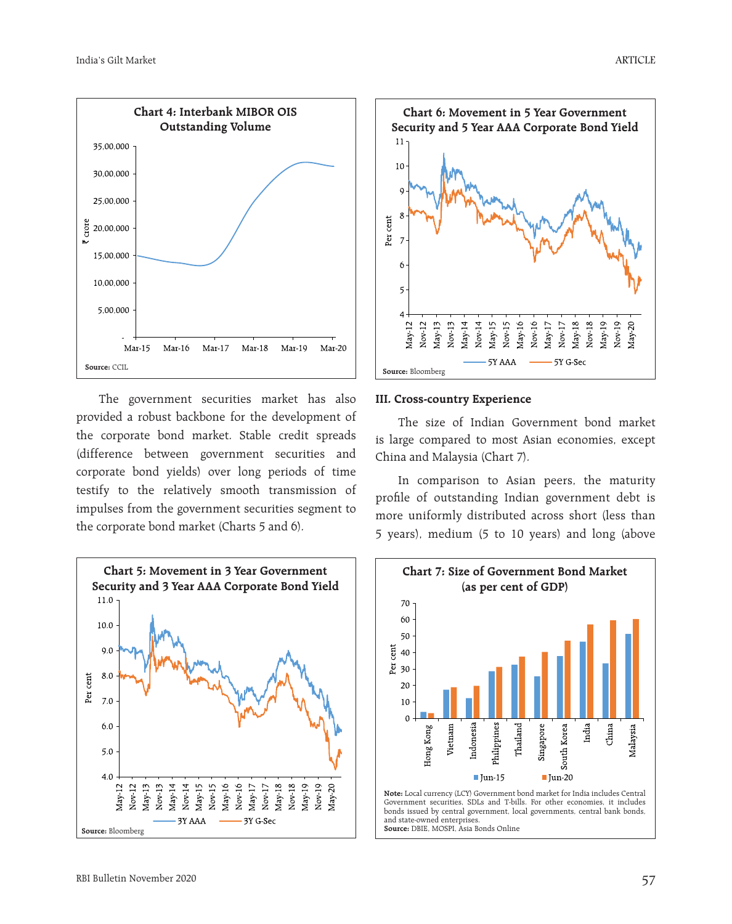

The government securities market has also provided a robust backbone for the development of the corporate bond market. Stable credit spreads (difference between government securities and corporate bond yields) over long periods of time testify to the relatively smooth transmission of impulses from the government securities segment to the corporate bond market (Charts 5 and 6).





## **III. Cross-country Experience**

The size of Indian Government bond market is large compared to most Asian economies, except China and Malaysia (Chart 7).

In comparison to Asian peers, the maturity profile of outstanding Indian government debt is more uniformly distributed across short (less than 5 years), medium (5 to 10 years) and long (above

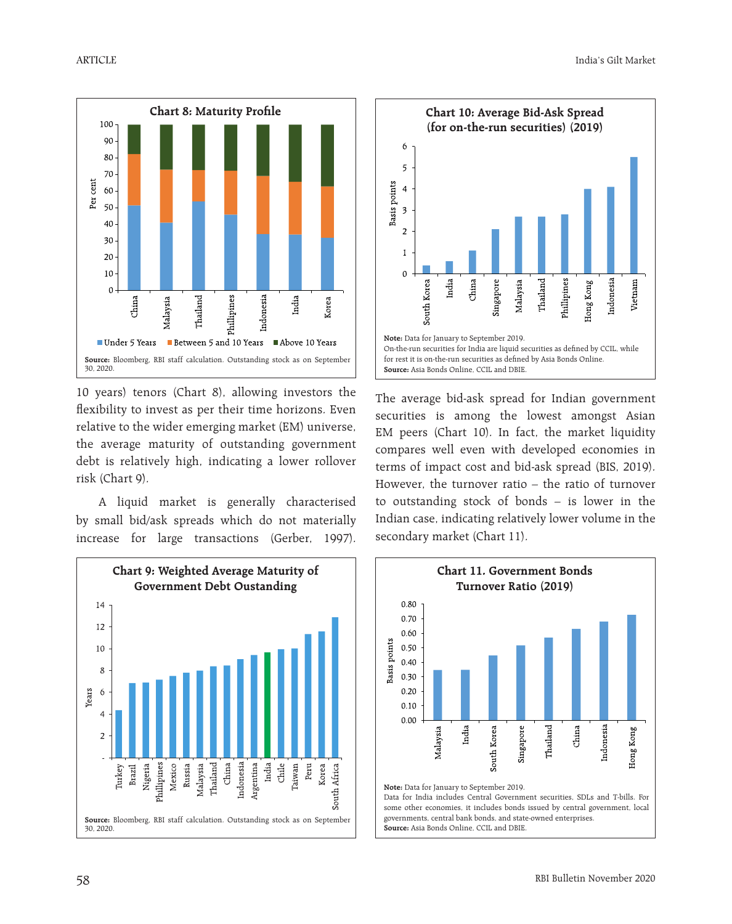

10 years) tenors (Chart 8), allowing investors the flexibility to invest as per their time horizons. Even relative to the wider emerging market (EM) universe, the average maturity of outstanding government debt is relatively high, indicating a lower rollover risk (Chart 9).

A liquid market is generally characterised by small bid/ask spreads which do not materially increase for large transactions (Gerber, 1997).





The average bid-ask spread for Indian government securities is among the lowest amongst Asian EM peers (Chart 10). In fact, the market liquidity compares well even with developed economies in terms of impact cost and bid-ask spread (BIS, 2019). However, the turnover ratio – the ratio of turnover to outstanding stock of bonds – is lower in the Indian case, indicating relatively lower volume in the secondary market (Chart 11).



Data for India includes Central Government securities, SDLs and T-bills. For some other economies, it includes bonds issued by central government, local governments, central bank bonds, and state-owned enterprises. **Source:** Asia Bonds Online, CCIL and DBIE.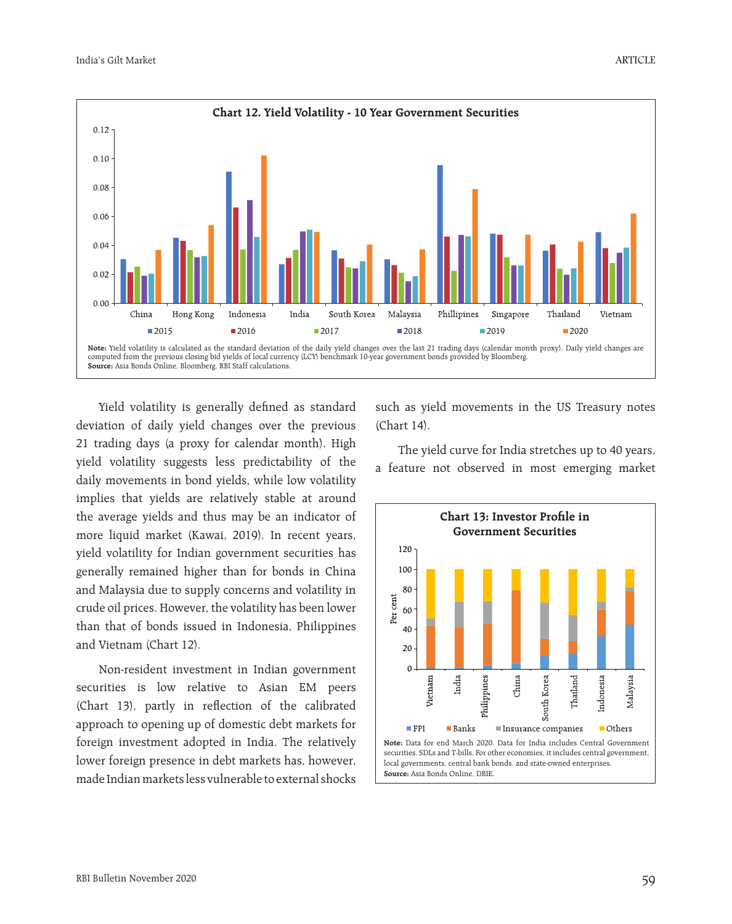

Yield volatility is generally defined as standard deviation of daily yield changes over the previous 21 trading days (a proxy for calendar month). High yield volatility suggests less predictability of the daily movements in bond yields, while low volatility implies that yields are relatively stable at around the average yields and thus may be an indicator of more liquid market (Kawai, 2019). In recent years, yield volatility for Indian government securities has generally remained higher than for bonds in China and Malaysia due to supply concerns and volatility in crude oil prices. However, the volatility has been lower than that of bonds issued in Indonesia, Philippines and Vietnam (Chart 12).

Non-resident investment in Indian government securities is low relative to Asian EM peers (Chart 13), partly in reflection of the calibrated approach to opening up of domestic debt markets for foreign investment adopted in India. The relatively lower foreign presence in debt markets has, however, made Indian markets less vulnerable to external shocks

such as yield movements in the US Treasury notes (Chart 14).

The yield curve for India stretches up to 40 years, a feature not observed in most emerging market

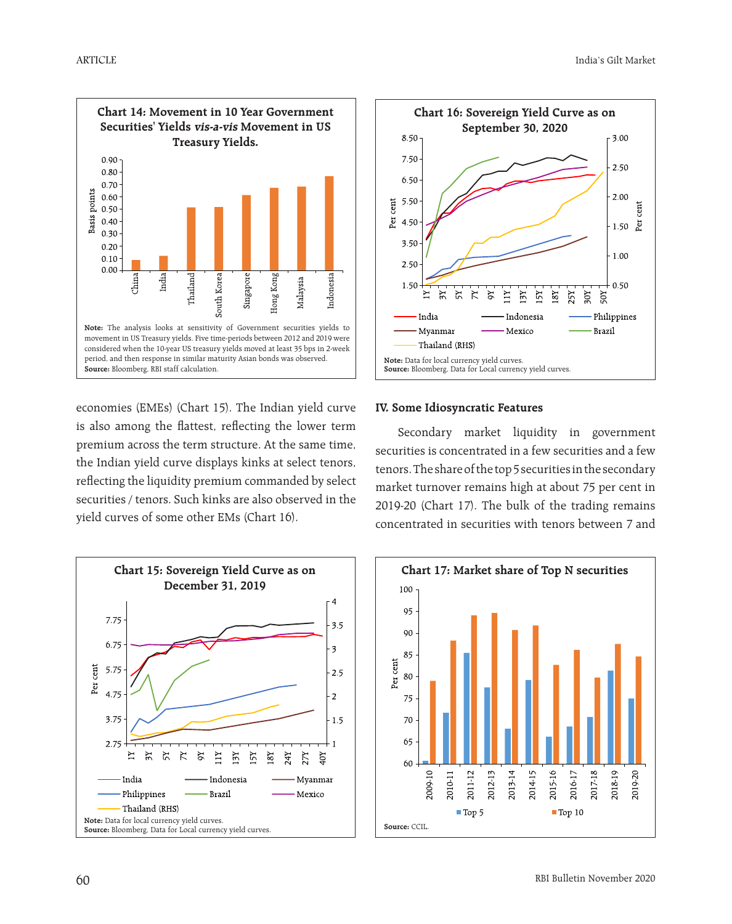

economies (EMEs) (Chart 15). The Indian yield curve is also among the flattest, reflecting the lower term premium across the term structure. At the same time, the Indian yield curve displays kinks at select tenors, reflecting the liquidity premium commanded by select securities / tenors. Such kinks are also observed in the yield curves of some other EMs (Chart 16).





#### **IV. Some Idiosyncratic Features**

Secondary market liquidity in government securities is concentrated in a few securities and a few tenors. The share of the top 5 securities in the secondary market turnover remains high at about 75 per cent in 2019-20 (Chart 17). The bulk of the trading remains concentrated in securities with tenors between 7 and

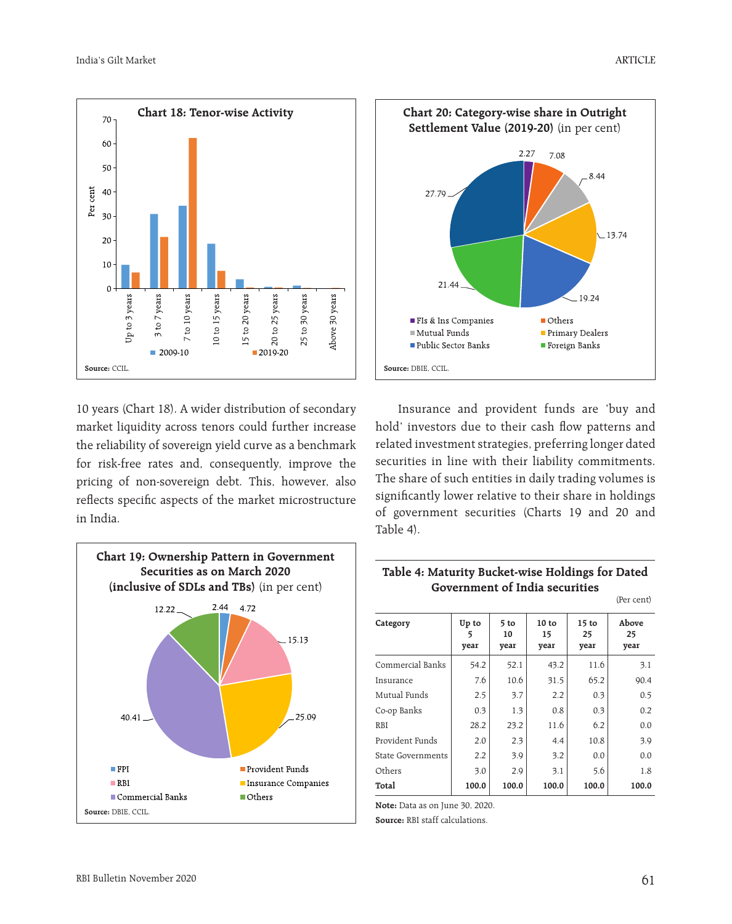

10 years (Chart 18). A wider distribution of secondary market liquidity across tenors could further increase the reliability of sovereign yield curve as a benchmark for risk-free rates and, consequently, improve the pricing of non-sovereign debt. This, however, also reflects specific aspects of the market microstructure in India.





Insurance and provident funds are 'buy and hold' investors due to their cash flow patterns and related investment strategies, preferring longer dated securities in line with their liability commitments. The share of such entities in daily trading volumes is significantly lower relative to their share in holdings of government securities (Charts 19 and 20 and Table 4).

#### **Table 4: Maturity Bucket-wise Holdings for Dated Government of India securities**  (Per cent)

| Category                 | Up to<br>5<br>year | 5 to<br>10<br>year | 10 to<br>15<br>year | $15$ to<br>25<br>year | Above<br>25<br>year |
|--------------------------|--------------------|--------------------|---------------------|-----------------------|---------------------|
| Commercial Banks         | 54.2               | 52.1               | 43.2                | 11.6                  | 3.1                 |
| Insurance                | 7.6                | 10.6               | 31.5                | 65.2                  | 90.4                |
| Mutual Funds             | 2.5                | 3.7                | 2.2                 | 0.3                   | 0.5                 |
| Co-op Banks              | 0.3                | 1.3                | 0.8                 | 0.3                   | 0.2                 |
| <b>RBI</b>               | 28.2               | 23.2               | 11.6                | 6.2                   | 0.0                 |
| Provident Funds          | 2.0                | 2.3                | 4.4                 | 10.8                  | 3.9                 |
| <b>State Governments</b> | 2.2                | 3.9                | 3.2                 | 0.0                   | 0.0                 |
| Others                   | 3.0                | 2.9                | 3.1                 | 5.6                   | 1.8                 |
| Total                    | 100.0              | 100.0              | 100.0               | 100.0                 | 100.0               |

**Note:** Data as on June 30, 2020.

**Source:** RBI staff calculations.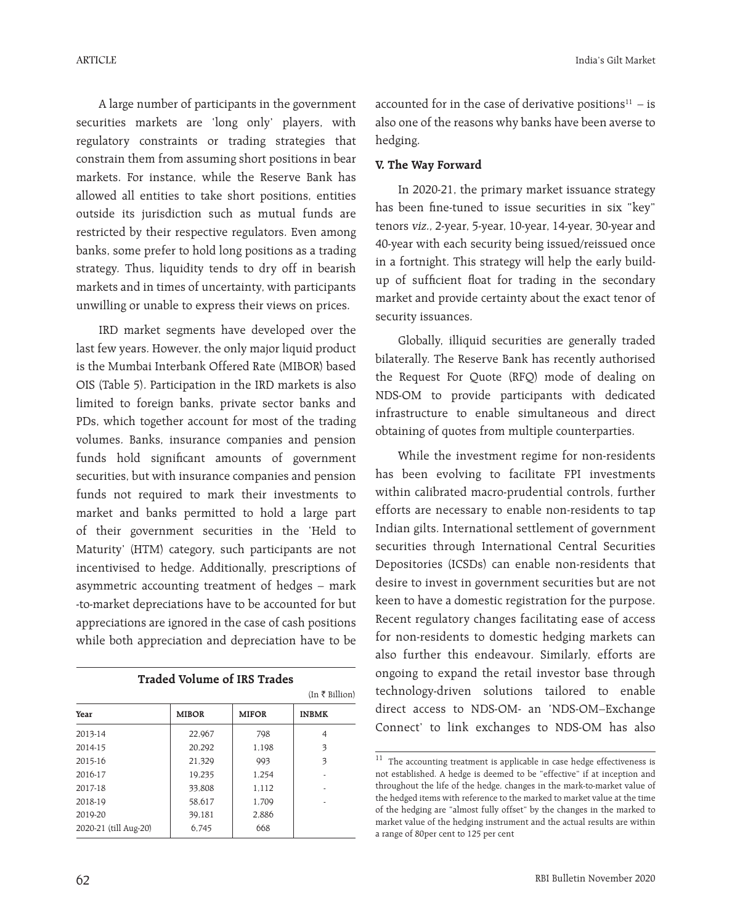A large number of participants in the government securities markets are 'long only' players, with regulatory constraints or trading strategies that constrain them from assuming short positions in bear markets. For instance, while the Reserve Bank has allowed all entities to take short positions, entities outside its jurisdiction such as mutual funds are restricted by their respective regulators. Even among banks, some prefer to hold long positions as a trading strategy. Thus, liquidity tends to dry off in bearish markets and in times of uncertainty, with participants unwilling or unable to express their views on prices.

IRD market segments have developed over the last few years. However, the only major liquid product is the Mumbai Interbank Offered Rate (MIBOR) based OIS (Table 5). Participation in the IRD markets is also limited to foreign banks, private sector banks and PDs, which together account for most of the trading volumes. Banks, insurance companies and pension funds hold significant amounts of government securities, but with insurance companies and pension funds not required to mark their investments to market and banks permitted to hold a large part of their government securities in the 'Held to Maturity' (HTM) category, such participants are not incentivised to hedge. Additionally, prescriptions of asymmetric accounting treatment of hedges – mark -to-market depreciations have to be accounted for but appreciations are ignored in the case of cash positions while both appreciation and depreciation have to be

| <b>Traded Volume of IRS Trades</b> |              |              |                |  |  |  |  |
|------------------------------------|--------------|--------------|----------------|--|--|--|--|
|                                    |              |              | (In ₹ billion) |  |  |  |  |
| Year                               | <b>MIBOR</b> | <b>MIFOR</b> | <b>INBMK</b>   |  |  |  |  |
| 2013-14                            | 22.967       | 798          | 4              |  |  |  |  |
| 2014-15                            | 20.292       | 1,198        | 3              |  |  |  |  |
| 2015-16                            | 21,329       | 993          | 3              |  |  |  |  |
| 2016-17                            | 19.235       | 1,254        |                |  |  |  |  |
| 2017-18                            | 33.808       | 1.112        |                |  |  |  |  |
| 2018-19                            | 58,617       | 1,709        |                |  |  |  |  |
| 2019-20                            | 39,181       | 2,886        |                |  |  |  |  |
| 2020-21 (till Aug-20)              | 6,745        | 668          |                |  |  |  |  |

accounted for in the case of derivative positions $11 - is$ also one of the reasons why banks have been averse to hedging.

## **V. The Way Forward**

In 2020-21, the primary market issuance strategy has been fine-tuned to issue securities in six "key" tenors viz., 2-year, 5-year, 10-year, 14-year, 30-year and 40-year with each security being issued/reissued once in a fortnight. This strategy will help the early buildup of sufficient float for trading in the secondary market and provide certainty about the exact tenor of security issuances.

Globally, illiquid securities are generally traded bilaterally. The Reserve Bank has recently authorised the Request For Quote (RFQ) mode of dealing on NDS-OM to provide participants with dedicated infrastructure to enable simultaneous and direct obtaining of quotes from multiple counterparties.

While the investment regime for non-residents has been evolving to facilitate FPI investments within calibrated macro-prudential controls, further efforts are necessary to enable non-residents to tap Indian gilts. International settlement of government securities through International Central Securities Depositories (ICSDs) can enable non-residents that desire to invest in government securities but are not keen to have a domestic registration for the purpose. Recent regulatory changes facilitating ease of access for non-residents to domestic hedging markets can also further this endeavour. Similarly, efforts are ongoing to expand the retail investor base through technology-driven solutions tailored to enable direct access to NDS-OM- an 'NDS-OM–Exchange Connect' to link exchanges to NDS-OM has also

 $^{\rm 11}$  The accounting treatment is applicable in case hedge effectiveness is not established. A hedge is deemed to be "effective" if at inception and throughout the life of the hedge, changes in the mark-to-market value of the hedged items with reference to the marked to market value at the time of the hedging are "almost fully offset" by the changes in the marked to market value of the hedging instrument and the actual results are within a range of 80per cent to 125 per cent